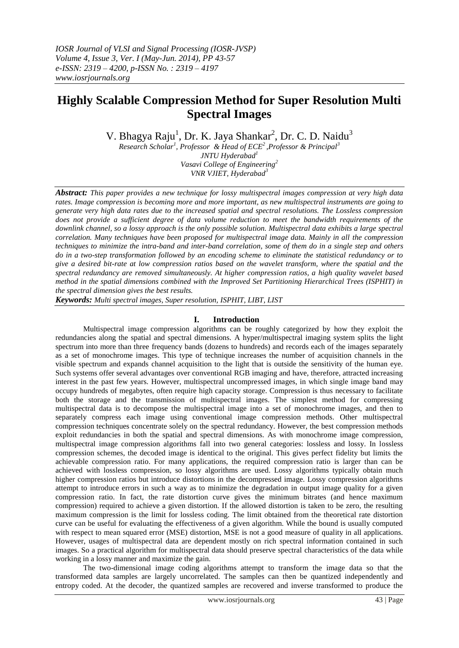# **Highly Scalable Compression Method for Super Resolution Multi Spectral Images**

V. Bhagya Raju<sup>1</sup>, Dr. K. Jaya Shankar<sup>2</sup>, Dr. C. D. Naidu<sup>3</sup>

*Research Scholar<sup>1</sup> , Professor & Head of ECE<sup>2</sup> ,Professor & Principal<sup>3</sup> JNTU Hyderabad<sup>1</sup> Vasavi College of Engineering<sup>2</sup>*

*VNR VJIET, Hyderabad<sup>3</sup>*

*Abstract: This paper provides a new technique for lossy multispectral images compression at very high data rates. Image compression is becoming more and more important, as new multispectral instruments are going to generate very high data rates due to the increased spatial and spectral resolutions. The Lossless compression does not provide a sufficient degree of data volume reduction to meet the bandwidth requirements of the downlink channel, so a lossy approach is the only possible solution. Multispectral data exhibits a large spectral correlation. Many techniques have been proposed for multispectral image data. Mainly in all the compression techniques to minimize the intra-band and inter-band correlation, some of them do in a single step and others do in a two-step transformation followed by an encoding scheme to eliminate the statistical redundancy or to give a desired bit-rate at low compression ratios based on the wavelet transform, where the spatial and the spectral redundancy are removed simultaneously. At higher compression ratios, a high quality wavelet based method in the spatial dimensions combined with the Improved Set Partitioning Hierarchical Trees (ISPHIT) in the spectral dimension gives the best results.*

*Keywords: Multi spectral images, Super resolution, ISPHIT, LIBT, LIST*

# **I. Introduction**

Multispectral image compression algorithms can be roughly categorized by how they exploit the redundancies along the spatial and spectral dimensions. A hyper/multispectral imaging system splits the light spectrum into more than three frequency bands (dozens to hundreds) and records each of the images separately as a set of monochrome images. This type of technique increases the number of acquisition channels in the visible spectrum and expands channel acquisition to the light that is outside the sensitivity of the human eye. Such systems offer several advantages over conventional RGB imaging and have, therefore, attracted increasing interest in the past few years. However, multispectral uncompressed images, in which single image band may occupy hundreds of megabytes, often require high capacity storage. Compression is thus necessary to facilitate both the storage and the transmission of multispectral images. The simplest method for compressing multispectral data is to decompose the multispectral image into a set of monochrome images, and then to separately compress each image using conventional image compression methods. Other multispectral compression techniques concentrate solely on the spectral redundancy. However, the best compression methods exploit redundancies in both the spatial and spectral dimensions. As with monochrome image compression, multispectral image compression algorithms fall into two general categories: lossless and lossy. In lossless compression schemes, the decoded image is identical to the original. This gives perfect fidelity but limits the achievable compression ratio. For many applications, the required compression ratio is larger than can be achieved with lossless compression, so lossy algorithms are used. Lossy algorithms typically obtain much higher compression ratios but introduce distortions in the decompressed image. Lossy compression algorithms attempt to introduce errors in such a way as to minimize the degradation in output image quality for a given compression ratio. In fact, the rate distortion curve gives the minimum bitrates (and hence maximum compression) required to achieve a given distortion. If the allowed distortion is taken to be zero, the resulting maximum compression is the limit for lossless coding. The limit obtained from the theoretical rate distortion curve can be useful for evaluating the effectiveness of a given algorithm. While the bound is usually computed with respect to mean squared error (MSE) distortion, MSE is not a good measure of quality in all applications. However, usages of multispectral data are dependent mostly on rich spectral information contained in such images. So a practical algorithm for multispectral data should preserve spectral characteristics of the data while working in a lossy manner and maximize the gain.

 The two-dimensional image coding algorithms attempt to transform the image data so that the transformed data samples are largely uncorrelated. The samples can then be quantized independently and entropy coded. At the decoder, the quantized samples are recovered and inverse transformed to produce the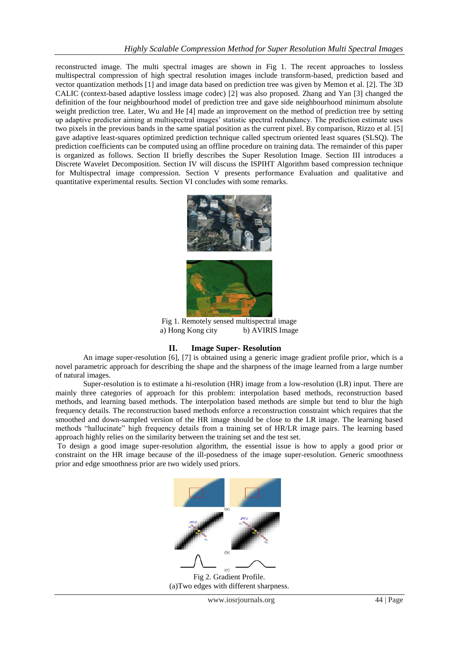reconstructed image. The multi spectral images are shown in Fig 1. The recent approaches to lossless multispectral compression of high spectral resolution images include transform-based, prediction based and vector quantization methods [1] and image data based on prediction tree was given by Memon et al. [2]. The 3D CALIC (context-based adaptive lossless image codec) [2] was also proposed. Zhang and Yan [3] changed the definition of the four neighbourhood model of prediction tree and gave side neighbourhood minimum absolute weight prediction tree. Later, Wu and He [4] made an improvement on the method of prediction tree by setting up adaptive predictor aiming at multispectral images' statistic spectral redundancy. The prediction estimate uses two pixels in the previous bands in the same spatial position as the current pixel. By comparison, Rizzo et al. [5] gave adaptive least-squares optimized prediction technique called spectrum oriented least squares (SLSQ). The prediction coefficients can be computed using an offline procedure on training data. The remainder of this paper is organized as follows. Section II briefly describes the Super Resolution Image. Section III introduces a Discrete Wavelet Decomposition. Section IV will discuss the ISPIHT Algorithm based compression technique for Multispectral image compression. Section V presents performance Evaluation and qualitative and quantitative experimental results. Section VI concludes with some remarks.



Fig 1. Remotely sensed multispectral image a) Hong Kong city b) AVIRIS Image

# **II. Image Super- Resolution**

An image super-resolution [6], [7] is obtained using a generic image gradient profile prior, which is a novel parametric approach for describing the shape and the sharpness of the image learned from a large number of natural images.

 Super-resolution is to estimate a hi-resolution (HR) image from a low-resolution (LR) input. There are mainly three categories of approach for this problem: interpolation based methods, reconstruction based methods, and learning based methods. The interpolation based methods are simple but tend to blur the high frequency details. The reconstruction based methods enforce a reconstruction constraint which requires that the smoothed and down-sampled version of the HR image should be close to the LR image. The learning based methods "hallucinate" high frequency details from a training set of HR/LR image pairs. The learning based approach highly relies on the similarity between the training set and the test set.

To design a good image super-resolution algorithm, the essential issue is how to apply a good prior or constraint on the HR image because of the ill-posedness of the image super-resolution. Generic smoothness prior and edge smoothness prior are two widely used priors.



Fig 2. Gradient Profile. (a)Two edges with different sharpness.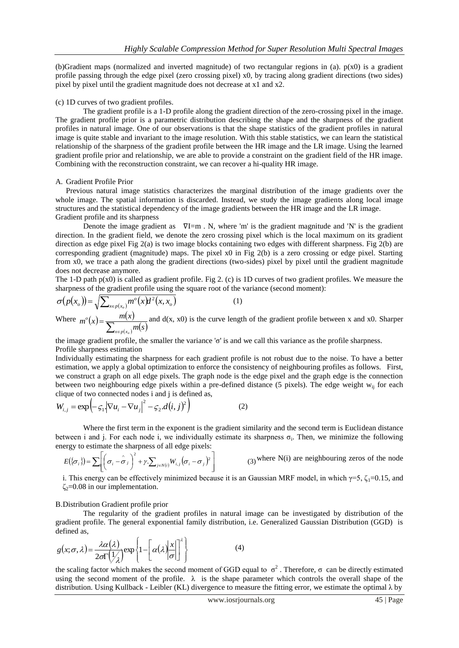(b)Gradient maps (normalized and inverted magnitude) of two rectangular regions in (a).  $p(x0)$  is a gradient profile passing through the edge pixel (zero crossing pixel) x0, by tracing along gradient directions (two sides) pixel by pixel until the gradient magnitude does not decrease at x1 and x2.

#### (c) 1D curves of two gradient profiles.

The gradient profile is a 1-D profile along the gradient direction of the zero-crossing pixel in the image. The gradient profile prior is a parametric distribution describing the shape and the sharpness of the gradient profiles in natural image. One of our observations is that the shape statistics of the gradient profiles in natural image is quite stable and invariant to the image resolution. With this stable statistics, we can learn the statistical relationship of the sharpness of the gradient profile between the HR image and the LR image. Using the learned gradient profile prior and relationship, we are able to provide a constraint on the gradient field of the HR image. Combining with the reconstruction constraint, we can recover a hi-quality HR image.

## A. Gradient Profile Prior

Previous natural image statistics characterizes the marginal distribution of the image gradients over the whole image. The spatial information is discarded. Instead, we study the image gradients along local image structures and the statistical dependency of the image gradients between the HR image and the LR image. Gradient profile and its sharpness

Denote the image gradient as  $\nabla I=m$ . N, where 'm' is the gradient magnitude and 'N' is the gradient direction. In the gradient field, we denote the zero crossing pixel which is the local maximum on its gradient direction as edge pixel Fig 2(a) is two image blocks containing two edges with different sharpness. Fig 2(b) are corresponding gradient (magnitude) maps. The pixel x0 in Fig 2(b) is a zero crossing or edge pixel. Starting from x0, we trace a path along the gradient directions (two-sides) pixel by pixel until the gradient magnitude does not decrease anymore.

The 1-D path  $p(x0)$  is called as gradient profile. Fig 2. (c) is 1D curves of two gradient profiles. We measure the sharpness of the gradient profile using the square root of the variance (second moment):

$$
\sigma(p(x_o)) = \sqrt{\sum_{x \in p(x_o)} m^o(x) d^2(x, x_o)}
$$
\n(1)

Where  $m^o(x) = \frac{m(x)}{\sqrt{x}}$  $=\frac{m(x)}{\sum_{x\in p(x_0)}m(s)}$  $x \in p(x_o$ *o m s*  $m^o(x) = \frac{m(x)}{\sum_{x} m(x)}$  and d(x, x0) is the curve length of the gradient profile between x and x0. Sharper

the image gradient profile, the smaller the variance 'σ' is and we call this variance as the profile sharpness. Profile sharpness estimation

Individually estimating the sharpness for each gradient profile is not robust due to the noise. To have a better estimation, we apply a global optimization to enforce the consistency of neighbouring profiles as follows. First, we construct a graph on all edge pixels. The graph node is the edge pixel and the graph edge is the connection between two neighbouring edge pixels within a pre-defined distance (5 pixels). The edge weight w<sub>ij</sub> for each clique of two connected nodes i and j is defined as,

$$
W_{i,j} = \exp\left(-\zeta_1 \left|\nabla u_i - \nabla u_j\right|^2 - \zeta_2 \cdot d(i,j)^2\right)
$$
 (2)

Where the first term in the exponent is the gradient similarity and the second term is Euclidean distance between i and j. For each node i, we individually estimate its sharpness  $\sigma_i$ . Then, we minimize the following energy to estimate the sharpness of all edge pixels:

$$
E(\{\sigma_i\}) = \sum \left[ \left( \sigma_i - \hat{\sigma}_i \right)^2 + \gamma \sum_{j \in N(i)} W_{i,j} \left( \sigma_i - \sigma_j \right)^2 \right]
$$
 (3) where N(i) are neighbouring zeros of the node

i. This energy can be effectively minimized because it is an Gaussian MRF model, in which  $\gamma = 5$ ,  $\zeta_1 = 0.15$ , and  $\zeta_2$ =0.08 in our implementation.

## B.Distribution Gradient profile prior

The regularity of the gradient profiles in natural image can be investigated by distribution of the gradient profile. The general exponential family distribution, i.e. Generalized Gaussian Distribution (GGD) is defined as,

$$
g(x; \sigma, \lambda) = \frac{\lambda \alpha(\lambda)}{2\sigma \Gamma(\frac{1}{\lambda})} \exp\left\{1 - \left[\alpha(\lambda) \frac{x}{\sigma}\right]^{2}\right\}
$$
(4)

the scaling factor which makes the second moment of GGD equal to  $\sigma^2$ . Therefore, σ can be directly estimated using the second moment of the profile.  $\lambda$  is the shape parameter which controls the overall shape of the distribution. Using Kullback - Leibler (KL) divergence to measure the fitting error, we estimate the optimal  $\lambda$  by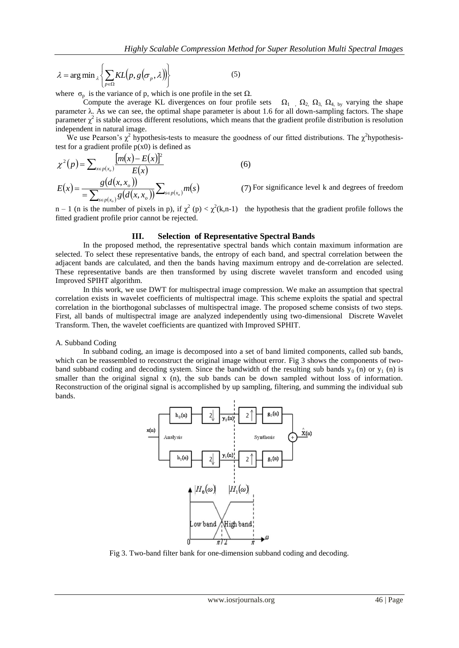$$
\lambda = \arg \min_{\lambda} \left\{ \sum_{p \in \Omega} KL(p, g(\sigma_p, \lambda)) \right\}
$$
 (5)

where  $\sigma_p$  is the variance of p, which is one profile in the set  $\Omega$ .

Compute the average KL divergences on four profile sets  $\Omega_1$ ,  $\Omega_2$ ,  $\Omega_3$ ,  $\Omega_4$ , by varying the shape parameter λ. As we can see, the optimal shape parameter is about 1.6 for all down-sampling factors. The shape parameter  $\chi^2$  is stable across different resolutions, which means that the gradient profile distribution is resolution independent in natural image.

We use Pearson's  $\chi^2$  hypothesis-tests to measure the goodness of our fitted distributions. The  $\chi^2$ hypothesistest for a gradient profile  $p(x0)$  is defined as

$$
\chi^{2}(p) = \sum_{x \in p(x_{o})} \frac{[m(x) - E(x)]^{2}}{E(x)}
$$
(6)  

$$
E(x) = \frac{g(d(x, x_{o}))}{\sum_{s \in p(x_{o})} g(d(x, x_{o}))} \sum_{s \in p(x_{o})} m(s)
$$
(7) For significance level k and degrees of freedom

n – 1 (n is the number of pixels in p), if  $\chi^2$  (p) <  $\chi^2$ (k,n-1) the hypothesis that the gradient profile follows the fitted gradient profile prior cannot be rejected.

## **III. Selection of Representative Spectral Bands**

In the proposed method, the representative spectral bands which contain maximum information are selected. To select these representative bands, the entropy of each band, and spectral correlation between the adjacent bands are calculated, and then the bands having maximum entropy and de-correlation are selected. These representative bands are then transformed by using discrete wavelet transform and encoded using Improved SPIHT algorithm.

In this work, we use DWT for multispectral image compression. We make an assumption that spectral correlation exists in wavelet coefficients of multispectral image. This scheme exploits the spatial and spectral correlation in the biorthogonal subclasses of multispectral image. The proposed scheme consists of two steps. First, all bands of multispectral image are analyzed independently using two-dimensional Discrete Wavelet Transform. Then, the wavelet coefficients are quantized with Improved SPHIT.

#### A. Subband Coding

In subband coding, an image is decomposed into a set of band limited components, called sub bands, which can be reassembled to reconstruct the original image without error. Fig 3 shows the components of twoband subband coding and decoding system. Since the bandwidth of the resulting sub bands  $y_0$  (n) or  $y_1$  (n) is smaller than the original signal  $x$  (n), the sub bands can be down sampled without loss of information. Reconstruction of the original signal is accomplished by up sampling, filtering, and summing the individual sub bands.



Fig 3. Two-band filter bank for one-dimension subband coding and decoding.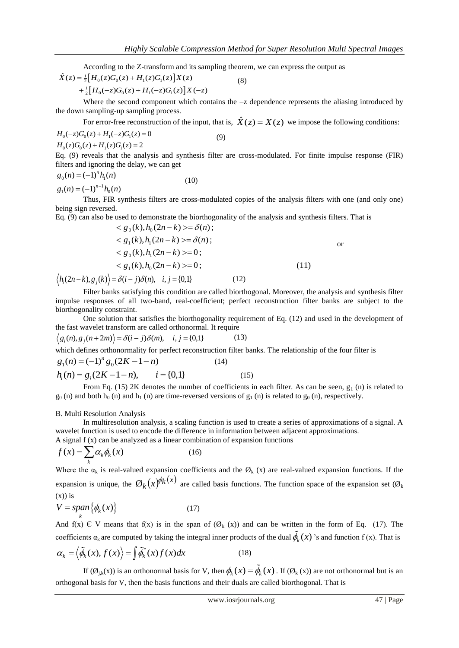According to the Z-transform and its sampling theorem, we can express the output as  $\hat{X}(z) = \frac{1}{2} \left[ H_0(z) G_0(z) + H_1(z) G_1(z) \right] X(z)$  (8)

$$
\hat{X}(z) = \frac{1}{2} \Big[ H_0(z) G_0(z) + H_1(z) G_1(z) \Big] X(z)
$$
  
+ 
$$
\frac{1}{2} \Big[ H_0(-z) G_0(z) + H_1(-z) G_1(z) \Big] X(-z)
$$

Where the second component which contains the  $-z$  dependence represents the aliasing introduced by the down sampling-up sampling process.

For error-free reconstruction of the input, that is,  $\hat{X}(z) = X(z)$  we impose the following conditions:<br>  $H_0(-z)G_0(z) + H_1(-z)G_1(z) = 0$  (9)

(8)

$$
H_0(-z)G_0(z) + H_1(-z)G_1(z) = 0
$$
  
\n
$$
H_0(z)G_0(z) + H_1(z)G_1(z) = 2
$$
\n(9)

Eq. (9) reveals that the analysis and synthesis filter are cross-modulated. For finite impulse response (FIR) filters and ignoring the delay, we can get

$$
g_0(n) = (-1)^n h_1(n)
$$
 (10)

$$
g_1(n) = (-1)^{n+1} h_0(n)
$$

Thus, FIR synthesis filters are cross-modulated copies of the analysis filters with one (and only one) being sign reversed.

Eq. (9) can also be used to demonstrate the biorthogonality of the analysis and synthesis filters. That is  $\mathcal{S}(x)$ .

$$
\langle g_0(k), h_0(2n-k) \rangle = \delta(n);
$$
  
\n
$$
\langle g_1(k), h_1(2n-k) \rangle = \delta(n);
$$
  
\n
$$
\langle g_0(k), h_1(2n-k) \rangle = 0;
$$
  
\n
$$
\langle g_1(k), h_0(2n-k) \rangle = 0;
$$
  
\n
$$
\langle h_i(2n-k), g_j(k) \rangle = \delta(i-j)\delta(n), \quad i, j = \{0,1\}
$$
 (12)

Filter banks satisfying this condition are called biorthogonal. Moreover, the analysis and synthesis filter impulse responses of all two-band, real-coefficient; perfect reconstruction filter banks are subject to the biorthogonality constraint.

One solution that satisfies the biorthogonality requirement of Eq. (12) and used in the development of the fast wavelet transform are called orthonormal. It require  $\langle g_i(n), g_j(n+2m) \rangle = \delta(i-j)\delta(m), \quad i, j = \{0,1\}$  (1)

$$
\langle g_i(n), g_j(n+2m) \rangle = \delta(i-j)\delta(m), \quad i, j = \{0,1\}
$$
 (13)

which defines orthonormality for perfect reconstruction filter banks. The relationship of the four filter is  $g_1(n) = (-1)^n g_0(2K - 1 - n)$  (14)

$$
g_1(n) = (-1)^n g_0(2K - 1 - n)
$$
 (14)  

$$
h_i(n) = g_i(2K - 1 - n), \qquad i = \{0, 1\}
$$
 (15)

From Eq. (15) 2K denotes the number of coefficients in each filter. As can be seen,  $g_1$  (n) is related to  $g_0$  (n) and both  $h_0$  (n) and  $h_1$  (n) are time-reversed versions of  $g_1$  (n) is related to  $g_0$  (n), respectively.

## B. Multi Resolution Analysis

In multiresolution analysis, a scaling function is used to create a series of approximations of a signal. A wavelet function is used to encode the difference in information between adjacent approximations. A signal f (x) can be analyzed as a linear combination of expansion functions

$$
f(x) = \sum_{k} \alpha_{k} \phi_{k}(x)
$$
 (16)

Where the  $\alpha_k$  is real-valued expansion coefficients and the  $\emptyset_k$  (x) are real-valued expansion functions. If the expansion is unique, the  $\mathcal{O}_k(x)^{\phi_k(x)}$  are called basis functions. The function space of the expansion set ( $\mathcal{O}_k$  $(x)$ ) is

$$
V = \operatorname{span}_{k} \{ \phi_k(x) \} \tag{17}
$$

And  $f(x) \in V$  means that  $f(x)$  is in the span of  $(\mathcal{O}_k(x))$  and can be written in the form of Eq. (17). The

coefficients 
$$
\alpha_k
$$
 are computed by taking the integral inner products of the dual  $\phi_k(x)$ 's and function f(x). That is  
\n
$$
\alpha_k = \langle \tilde{\phi}_k(x), f(x) \rangle = \int \tilde{\phi}_k^*(x) f(x) dx
$$
\n(18)

If  $(\emptyset_{j,k}(x))$  is an orthonormal basis for V, then  $\phi_k(x) = \phi_k(x)$ . If  $(\emptyset_k(x))$  are not orthonormal but is an orthogonal basis for V, then the basis functions and their duals are called biorthogonal. That is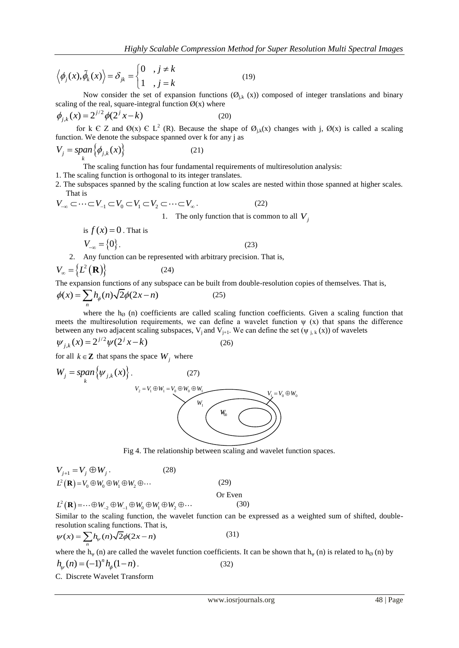$$
\left\langle \phi_j(x), \tilde{\phi}_k(x) \right\rangle = \delta_{jk} = \begin{cases} 0, & j \neq k \\ 1, & j = k \end{cases}
$$
 (19)

Now consider the set of expansion functions  $(\mathcal{O}_{j,k}(x))$  composed of integer translations and binary scaling of the real, square-integral function  $\varnothing(x)$  where

$$
\phi_{j,k}(x) = 2^{j/2} \phi(2^{j} x - k)
$$
 (20)

for k C Z and  $\mathcal{O}(x)$  C L<sup>2</sup> (R). Because the shape of  $\mathcal{O}_{j,k}(x)$  changes with j,  $\mathcal{O}(x)$  is called a scaling function. We denote the subspace spanned over k for any j as

$$
V_j = \operatorname{span}_{k} \{ \phi_{j,k}(x) \}
$$
 (21)

The scaling function has four fundamental requirements of multiresolution analysis:

1. The scaling function is orthogonal to its integer translates.

2. The subspaces spanned by the scaling function at low scales are nested within those spanned at higher scales. That is

That is  
\n
$$
V_{-\infty} \subset \cdots \subset V_{-1} \subset V_0 \subset V_1 \subset V_2 \subset \cdots \subset V_{\infty}.
$$
\n
$$
1. \text{ The only function that is common to all } V_j
$$

is 
$$
f(x) = 0
$$
. That is  
\n
$$
V_{-\infty} = \{0\}.
$$
\n(23)

2. Any function can be represented with arbitrary precision. That is,

$$
V_{\infty} = \{L^{2}(\mathbf{R})\}
$$
 (24)

The expansion functions of any subspace can be built from double-resolution copies of themselves. That is,  $\phi(x) = \sum h_{\phi}(n) \sqrt{2} \phi(2x - n)$  (25)

$$
\phi(x) = \sum_{n} h_{\phi}(n) \sqrt{2} \phi(2x - n) \tag{25}
$$

where the  $h_{\emptyset}$  (n) coefficients are called scaling function coefficients. Given a scaling function that meets the multiresolution requirements, we can define a wavelet function  $\psi$  (x) that spans the difference between any two adjacent scaling subspaces,  $V_j$  and  $V_{j+1}$ . We can define the set  $(\psi_{j,k}(x))$  of wavelets

$$
\psi_{j,k}(x) = 2^{j/2} \psi(2^{j} x - k)
$$
 (26)

for all  $k \in \mathbb{Z}$  that spans the space  $W_j$  where

$$
\langle \phi_j(x), \hat{\phi}_k(x) \rangle = \delta_{jk} = \begin{cases} 0 & , j \neq k \\ 1 & , j = k \end{cases}
$$
 (19)  
scaling of the real, square-integrating function  $\theta(x)$  where  
 $\phi_{j,k}(x) = 2^{j/2} \phi(2^j x - k)$  (20)  
for  $k \in \mathbb{Z}$  and  $\theta(x) \in L^2$  (R). Because the shape  
function. We denote the subspace spanned over k for any j as  
 $V_j = \pi \rho m \{\phi_{j,k}(x)\}$  (21)  
function. We denote the subspace spanned over k for any j as  
 $V_j = \pi \rho m \{\phi_{j,k}(x)\}$  (21)  
1. The scaling function has four fundamental requirements of multiresolution analysis:  
The scaleing function has four fundamental requirements of multiresolution analysis.  
2. The subspace spanned by the scaling function at low scales are nested within those spanned at higher scales.  
2. The subspace spanned by the scaling function that is common to all  $V_j$   
is  $f(x) = 0$ . That is  
 $V_{-\infty} = \begin{cases} i/2 & (1, 1) \\ 0 \end{cases}$  (23)  
2. Any function can be represented with arbitrary precision. That is,  
 $V_{-\infty} = \begin{cases} i/2 & (2, 1) \\ 0 \end{cases}$  (24)  
2. Any function can be represented with arbitrary precision. That is,  
 $V_{-\infty} = \begin{cases} i/2 & (2, 1) \\ 0 \end{cases}$  (25)  
2. Any function can be represented with arbitrary precision. That is,  
 $V_{-\infty} = \begin{cases} i/2 & (2, 1) \\ 0 \end{cases}$  (26)  
where the  $h_0$  (n) coefficients are called scaling function coefficients. Given a scaling function that  
meats the number of variables in the  $h_0$  and  $h_0$  is the difference between any two adjacent singular numbers,  $\eta$  and define the set  $(\psi_{j,k}(x))$  of wavelets  
between any two adjacent scalars, we can define a wavelet function (1) of wavelets  
 $\psi_{j,k}(x) = 2^{j/2} \psi(2^j x - k)$  (26)  
for all  $k \in \mathbb{Z}$  that spans the space  $W_j$  where  
 $W_j = s \rho m_k \{\psi_{j,k}(w) \}$ .  
 $V_{j+1} = V$ 

Fig 4. The relationship between scaling and wavelet function spaces.

$$
V_{j+1} = V_j \oplus W_j.
$$
 (28)  
\n
$$
L^2(\mathbf{R}) = V_0 \oplus W_0 \oplus W_1 \oplus W_2 \oplus \cdots
$$
 (29)  
\n
$$
L^2(\mathbf{R}) = \cdots \oplus W_{-2} \oplus W_{-1} \oplus W_0 \oplus W_1 \oplus W_2 \oplus \cdots
$$
 (3

$$
L^{2}(\mathbf{R}) = \cdots \oplus W_{-2} \oplus W_{-1} \oplus W_{0} \oplus W_{1} \oplus W_{2} \oplus \cdots
$$
 (30)

Similar to the scaling function, the wavelet function can be expressed as a weighted sum of shifted, double-

resolution scaling functions. That is,  
\n
$$
\psi(x) = \sum_{n} h_{\psi}(n) \sqrt{2} \phi(2x - n)
$$
\n(31)

where the  $h_{\psi}$  (n) are called the wavelet function coefficients. It can be shown that  $h_{\psi}$  (n) is related to  $h_{\emptyset}$  (n) by  $h_{\psi}(n) = (-1)^n h_{\phi}(1 - n)$ . (32)

C. Discrete Wavelet Transform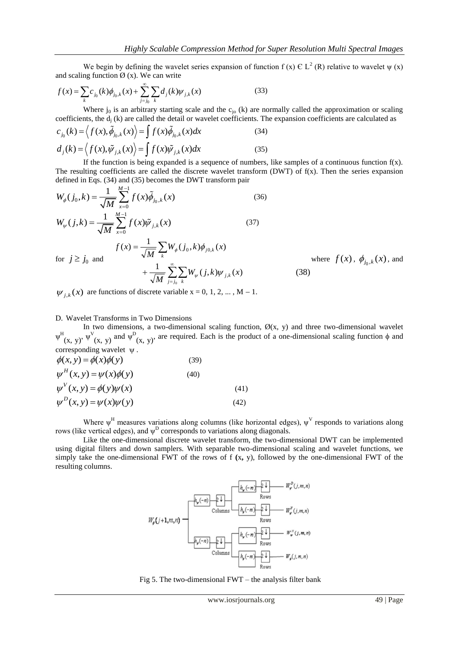We begin by defining the wavelet series expansion of function f (x)  $\epsilon L^2$  (R) relative to wavelet  $\psi$  (x) caling function  $\emptyset$  (x). We can write<br>=  $\sum_k c_{j_0}(k)\phi_{j_0,k}(x) + \sum_{j=j_0}^{\infty} \sum_k d_j(k)\psi_{j,k}(x)$  (33)

and scaling function 
$$
\emptyset
$$
 (x). We can write  
\n
$$
f(x) = \sum_{k} c_{j_0}(k) \phi_{j_0,k}(x) + \sum_{j=j_0}^{\infty} \sum_{k} d_j(k) \psi_{j,k}(x)
$$
\n(33)

Where  $j_0$  is an arbitrary starting scale and the  $c_{j_0}$  (k) are normally called the approximation or scaling coefficients, the d<sub>j</sub> (k) are called the detail or wavelet coefficients. The expansion coefficients are calculated as  $c_{j_0}(k) = \langle f(x), \tilde{\phi}_{j_0,k}(x) \rangle = \int f(x) \tilde{\phi}_{j_0,k}(x) dx$  (34)

$$
c_{j_0}(k) = \langle f(x), \tilde{\phi}_{j_0,k}(x) \rangle = \int f(x) \tilde{\phi}_{j_0,k}(x) dx
$$
\n(34)\n
$$
d_j(k) = \langle f(x), \tilde{\psi}_{j,k}(x) \rangle = \int f(x) \tilde{\psi}_{j,k}(x) dx
$$
\n(35)

If the function is being expanded is a sequence of numbers, like samples of a continuous function  $f(x)$ . The resulting coefficients are called the discrete wavelet transform (DWT) of  $f(x)$ . Then the series expansion defined in Eqs. (34) and (35) becomes the DWT transform pair

$$
W_{\phi}(j_0, k) = \frac{1}{\sqrt{M}} \sum_{x=0}^{M-1} f(x) \tilde{\phi}_{j_0, k}(x)
$$
(36)  

$$
W_{\psi}(j,k) = \frac{1}{\sqrt{M}} \sum_{x=0}^{M-1} f(x) \tilde{\psi}_{j,k}(x)
$$
(37)  
for  $j \ge j_0$  and  

$$
f(x) = \frac{1}{\sqrt{M}} \sum_{k=0}^{M-1} W_{\phi}(j_0, k) \phi_{j_0, k}(x)
$$
where  $f(x)$ ,  $\phi_{j_0, k}(x)$ , and  

$$
+ \frac{1}{\sqrt{M}} \sum_{j=j_0}^{\infty} \sum_{k=0}^{M} W_{\psi}(j,k) \psi_{j,k}(x)
$$
(38)

 $\psi_{j,k}(x)$  are functions of discrete variable  $x = 0, 1, 2, ..., M - 1$ .

#### D. Wavelet Transforms in Two Dimensions

In two dimensions, a two-dimensional scaling function,  $\mathcal{O}(x, y)$  and three two-dimensional wavelet  $\Psi^H(x, y)$ ,  $\Psi^V(x, y)$  and  $\Psi^D(x, y)$ , are required. Each is the product of a one-dimensional scaling function  $\phi$  and corresponding wavelet  $\psi$ .

$$
\phi(x, y) = \phi(x)\phi(y)
$$
\n(39)  
\n
$$
\psi^H(x, y) = \psi(x)\phi(y)
$$
\n(40)  
\n
$$
\psi^V(x, y) = \phi(y)\psi(x)
$$
\n(41)  
\n
$$
\psi^D(x, y) = \psi(x)\psi(y)
$$
\n(42)

Where  $\psi^H$  measures variations along columns (like horizontal edges),  $\psi^V$  responds to variations along rows (like vertical edges), and  $\psi^D$  corresponds to variations along diagonals.

Like the one-dimensional discrete wavelet transform, the two-dimensional DWT can be implemented using digital filters and down samplers. With separable two-dimensional scaling and wavelet functions, we simply take the one-dimensional FWT of the rows of f **(**x**,** y), followed by the one-dimensional FWT of the resulting columns.



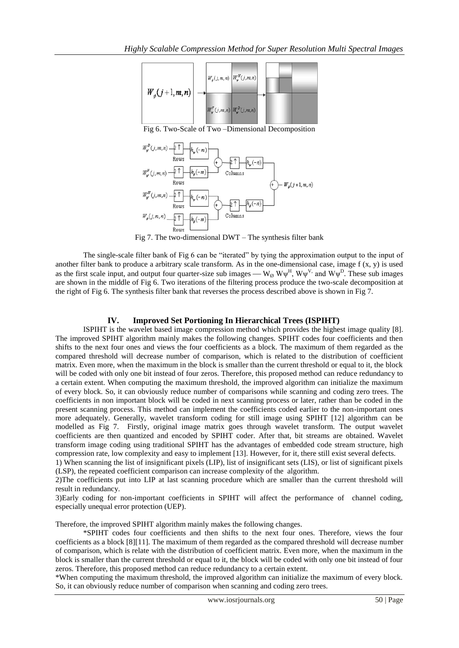

Fig 6. Two-Scale of Two –Dimensional Decomposition



Fig 7. The two-dimensional DWT – The synthesis filter bank

The single-scale filter bank of Fig 6 can be "iterated" by tying the approximation output to the input of another filter bank to produce a arbitrary scale transform. As in the one-dimensional case, image  $f(x, y)$  is used as the first scale input, and output four quarter-size sub images —  $W_{\emptyset}$   $W\psi^H$ ,  $W\psi^V$ , and  $W\psi^D$ . These sub images are shown in the middle of Fig 6. Two iterations of the filtering process produce the two-scale decomposition at the right of Fig 6. The synthesis filter bank that reverses the process described above is shown in Fig 7.

# **IV. Improved Set Portioning In Hierarchical Trees (ISPIHT)**

ISPIHT is the wavelet based image compression method which provides the highest image quality [8]. The improved SPIHT algorithm mainly makes the following changes. SPIHT codes four coefficients and then shifts to the next four ones and views the four coefficients as a block. The maximum of them regarded as the compared threshold will decrease number of comparison, which is related to the distribution of coefficient matrix. Even more, when the maximum in the block is smaller than the current threshold or equal to it, the block will be coded with only one bit instead of four zeros. Therefore, this proposed method can reduce redundancy to a certain extent. When computing the maximum threshold, the improved algorithm can initialize the maximum of every block. So, it can obviously reduce number of comparisons while scanning and coding zero trees. The coefficients in non important block will be coded in next scanning process or later, rather than be coded in the present scanning process. This method can implement the coefficients coded earlier to the non-important ones more adequately. Generally, wavelet transform coding for still image using SPIHT [12] algorithm can be modelled as Fig 7. Firstly, original image matrix goes through wavelet transform. The output wavelet coefficients are then quantized and encoded by SPIHT coder. After that, bit streams are obtained. Wavelet transform image coding using traditional SPIHT has the advantages of embedded code stream structure, high compression rate, low complexity and easy to implement [13]. However, for it, there still exist several defects.

1) When scanning the list of insignificant pixels (LIP), list of insignificant sets (LIS), or list of significant pixels (LSP), the repeated coefficient comparison can increase complexity of the algorithm.

2)The coefficients put into LIP at last scanning procedure which are smaller than the current threshold will result in redundancy.

3)Early coding for non-important coefficients in SPIHT will affect the performance of channel coding, especially unequal error protection (UEP).

Therefore, the improved SPIHT algorithm mainly makes the following changes.

\*SPIHT codes four coefficients and then shifts to the next four ones. Therefore, views the four coefficients as a block [8][11]. The maximum of them regarded as the compared threshold will decrease number of comparison, which is relate with the distribution of coefficient matrix. Even more, when the maximum in the block is smaller than the current threshold or equal to it, the block will be coded with only one bit instead of four zeros. Therefore, this proposed method can reduce redundancy to a certain extent.

\*When computing the maximum threshold, the improved algorithm can initialize the maximum of every block. So, it can obviously reduce number of comparison when scanning and coding zero trees.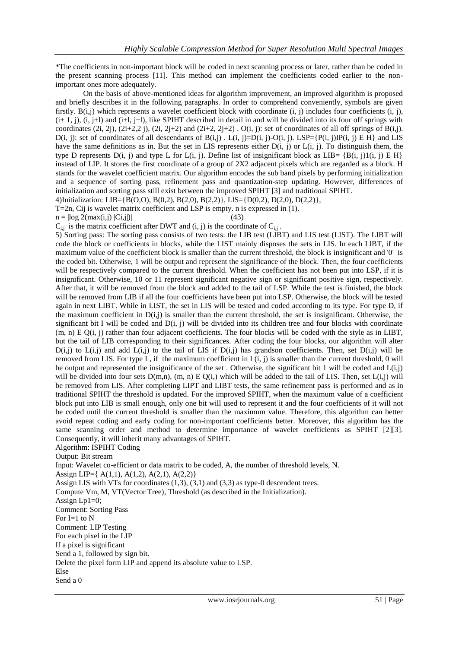\*The coefficients in non-important block will be coded in next scanning process or later, rather than be coded in the present scanning process [11]. This method can implement the coefficients coded earlier to the nonimportant ones more adequately.

On the basis of above-mentioned ideas for algorithm improvement, an improved algorithm is proposed and briefly describes it in the following paragraphs. In order to comprehend conveniently, symbols are given firstly.  $B(i,j)$  which represents a wavelet coefficient block with coordinate  $(i, j)$  includes four coefficients  $(i, j)$ ,  $(i+1, j)$ ,  $(i, j+1)$  and  $(i+1, j+1)$ , like SPIHT described in detail in and will be divided into its four off springs with coordinates (2i, 2j), (2i+2,2 j), (2i, 2j+2) and (2i+2, 2j+2) . O(i, j): set of coordinates of all off springs of B(i,j).  $D(i, j)$ : set of coordinates of all descendants of  $B(i, j)$ .  $L(i, j)=D(i, j)$ - $O(i, j)$ . LSP={P(i, j)IP(i, j) E H} and LIS have the same definitions as in. But the set in LIS represents either  $D(i, j)$  or  $L(i, j)$ . To distinguish them, the type D represents D(i, j) and type L for L(i, j). Define list of insignificant block as LIB=  ${B(i, j)1(i, j) E H}$ instead of LIP. It stores the first coordinate of a group of 2X2 adjacent pixels which are regarded as a block. H stands for the wavelet coefficient matrix. Our algorithm encodes the sub band pixels by performing initialization and a sequence of sorting pass, refinement pass and quantization-step updating. However, differences of initialization and sorting pass still exist between the improved SPIHT [3] and traditional SPIHT. 4)Initialization: LIB={B(O,O), B(0,2), B(2,0), B(2,2)}, LlS={D(0,2), D(2,0), D(2,2)},

T=2n, Cij is wavelet matrix coefficient and LSP is empty. n is expressed in (1).

 $n = |log 2(max(i, j) | Ci, j)|$  (43)

 $C_{i,j}$  is the matrix coefficient after DWT and (i, j) is the coordinate of  $C_{i,j}$ .

5) Sorting pass: The sorting pass consists of two tests: the LIB test (LIBT) and LIS test (LIST). The LIBT will code the block or coefficients in blocks, while the LIST mainly disposes the sets in LIS. In each LlBT, if the maximum value of the coefficient block is smaller than the current threshold, the block is insignificant and '0' is the coded bit. Otherwise, 1 will be output and represent the significance of the block. Then, the four coefficients will be respectively compared to the current threshold. When the coefficient has not been put into LSP, if it is insignificant. Otherwise, 10 or 11 represent significant negative sign or significant positive sign, respectively. After that, it will be removed from the block and added to the tail of LSP. While the test is finished, the block will be removed from LIB if all the four coefficients have been put into LSP. Otherwise, the block will be tested again in next LIBT. While in LIST, the set in LIS will be tested and coded according to its type. For type D, if the maximum coefficient in  $D(i,j)$  is smaller than the current threshold, the set is insignificant. Otherwise, the significant bit I will be coded and  $D(i, j)$  will be divided into its children tree and four blocks with coordinate (m, n) E Q(i, j) rather than four adjacent coefficients. The four blocks will be coded with the style as in LIBT, but the tail of LIB corresponding to their significances. After coding the four blocks, our algorithm will alter  $D(i,j)$  to  $L(i,j)$  and add  $L(i,j)$  to the tail of LIS if  $D(i,j)$  has grandson coefficients. Then, set  $D(i,j)$  will be removed from LIS. For type L, if the maximum coefficient in  $L(i, j)$  is smaller than the current threshold, 0 will be output and represented the insignificance of the set. Otherwise, the significant bit 1 will be coded and  $L(i,j)$ will be divided into four sets  $D(m,n)$ ,  $(m, n) \to Q(i)$ , which will be added to the tail of LIS. Then, set  $L(i,j)$  will be removed from LIS. After completing LIPT and LIBT tests, the same refinement pass is performed and as in traditional SPIHT the threshold is updated. For the improved SPIHT, when the maximum value of a coefficient block put into LIB is small enough, only one bit will used to represent it and the four coefficients of it will not be coded until the current threshold is smaller than the maximum value. Therefore, this algorithm can better avoid repeat coding and early coding for non-important coefficients better. Moreover, this algorithm has the same scanning order and method to determine importance of wavelet coefficients as SPIHT [2][3]. Consequently, it will inherit many advantages of SPIHT.

Algorithm: ISPIHT Coding

Output: Bit stream

Input: Wavelet co-efficient or data matrix to be coded, A, the number of threshold levels, N.

Assign LIP={ A(1,1), A(1,2), A(2,1), A(2,2)}

Assign LIS with VTs for coordinates (1,3), (3,1) and (3,3) as type-0 descendent trees.

Compute Vm, M, VT(Vector Tree), Threshold (as described in the Initialization).

Assign Lp1=0;

Comment: Sorting Pass

For I=1 to N

Comment: LIP Testing

For each pixel in the LIP

If a pixel is significant

Send a 1, followed by sign bit.

Delete the pixel form LIP and append its absolute value to LSP.

Else

Send a 0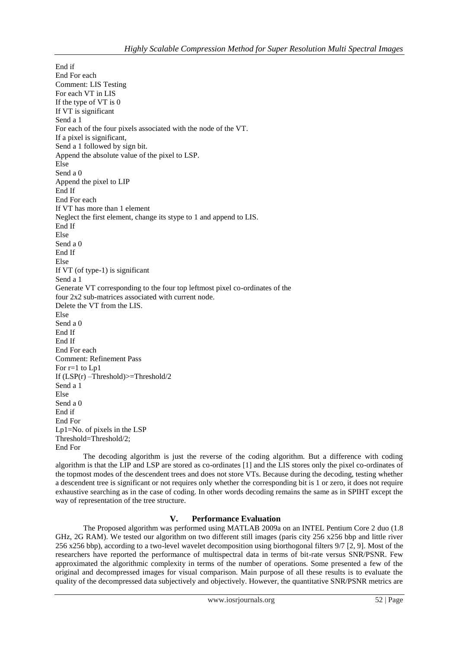End if End For each Comment: LIS Testing For each VT in LIS If the type of VT is 0 If VT is significant Send a 1 For each of the four pixels associated with the node of the VT. If a pixel is significant, Send a 1 followed by sign bit. Append the absolute value of the pixel to LSP. Else Send a 0 Append the pixel to LIP End If End For each If VT has more than 1 element Neglect the first element, change its stype to 1 and append to LIS. End If Else Send a 0 End If Else If VT (of type-1) is significant Send a 1 Generate VT corresponding to the four top leftmost pixel co-ordinates of the four 2x2 sub-matrices associated with current node. Delete the VT from the LIS. Else Send a 0 End If End If End For each Comment: Refinement Pass For r=1 to Lp1 If  $(LSP(r)$  –Threshold) $>=$ Threshold/2 Send a 1 Else Send a 0 End if End For Lp1=No. of pixels in the LSP Threshold=Threshold/2; End For

The decoding algorithm is just the reverse of the coding algorithm. But a difference with coding algorithm is that the LIP and LSP are stored as co-ordinates [1] and the LIS stores only the pixel co-ordinates of the topmost modes of the descendent trees and does not store VTs. Because during the decoding, testing whether a descendent tree is significant or not requires only whether the corresponding bit is 1 or zero, it does not require exhaustive searching as in the case of coding. In other words decoding remains the same as in SPIHT except the way of representation of the tree structure.

# **V. Performance Evaluation**

The Proposed algorithm was performed using MATLAB 2009a on an INTEL Pentium Core 2 duo (1.8 GHz, 2G RAM). We tested our algorithm on two different still images (paris city 256 x256 bbp and little river 256 x256 bbp), according to a two-level wavelet decomposition using biorthogonal filters 9/7 [2, 9]. Most of the researchers have reported the performance of multispectral data in terms of bit-rate versus SNR/PSNR. Few approximated the algorithmic complexity in terms of the number of operations. Some presented a few of the original and decompressed images for visual comparison. Main purpose of all these results is to evaluate the quality of the decompressed data subjectively and objectively. However, the quantitative SNR/PSNR metrics are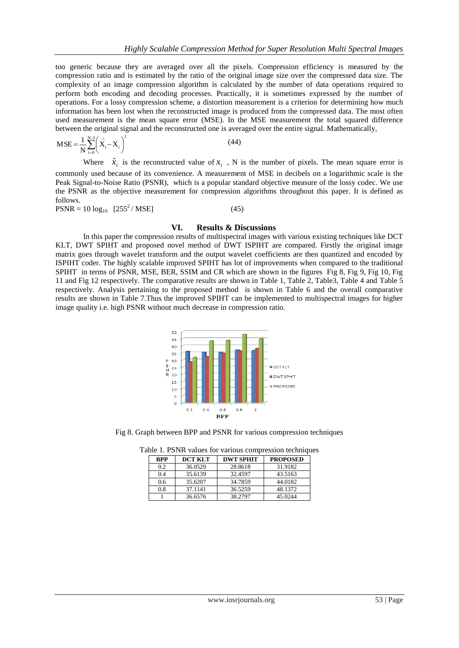too generic because they are averaged over all the pixels. Compression efficiency is measured by the compression ratio and is estimated by the ratio of the original image size over the compressed data size. The complexity of an image compression algorithm is calculated by the number of data operations required to perform both encoding and decoding processes. Practically, it is sometimes expressed by the number of operations. For a lossy compression scheme, a distortion measurement is a criterion for determining how much information has been lost when the reconstructed image is produced from the compressed data. The most often used measurement is the mean square error (MSE). In the MSE measurement the total squared difference between the original signal and the reconstructed one is averaged over the entire signal. Mathematically,

$$
MSE = \frac{1}{N} \sum_{i=0}^{N-1} \left( \hat{X}_i - X_i \right)^2
$$
 (44)

Where  $\hat{x}_i$  is the reconstructed value of  $x_i$ , N is the number of pixels. The mean square error is commonly used because of its convenience. A measurement of MSE in decibels on a logarithmic scale is the Peak Signal-to-Noise Ratio (PSNR), which is a popular standard objective measure of the lossy codec. We use the PSNR as the objective measurement for compression algorithms throughout this paper. It is defined as follows.

 $PSNR = 10 \log_{10} \left[ 255^2 / MSE \right]$  (45)

#### **VI. Results & Discussions**

In this paper the compression results of multispectral images with various existing techniques like DCT KLT, DWT SPIHT and proposed novel method of DWT ISPIHT are compared. Firstly the original image matrix goes through wavelet transform and the output wavelet coefficients are then quantized and encoded by ISPIHT coder. The highly scalable improved SPIHT has lot of improvements when compared to the traditional SPIHT in terms of PSNR, MSE, BER, SSIM and CR which are shown in the figures Fig 8, Fig 9, Fig 10, Fig 11 and Fig 12 respectively. The comparative results are shown in Table 1, Table 2, Table3, Table 4 and Table 5 respectively. Analysis pertaining to the proposed method is shown in Table 6 and the overall comparative results are shown in Table 7.Thus the improved SPIHT can be implemented to multispectral images for higher image quality i.e. high PSNR without much decrease in compression ratio.



Fig 8. Graph between BPP and PSNR for various compression techniques

| <b>RPP</b> | <b>DCT KLT</b> | <b>DWT SPHIT</b> | <b>PROPOSED</b> |
|------------|----------------|------------------|-----------------|
| 9.2        | 36.0529        | 28.8618          | 31.9182         |
| 0.4        | 35.6139        | 32.4597          | 43.5163         |

0.6 35.6207 34.7859 44.0182 0.8 37.1141 36.5259 48.1372

1 36.6576 38.2797 45.0244

Table 1. PSNR values for various compression techniques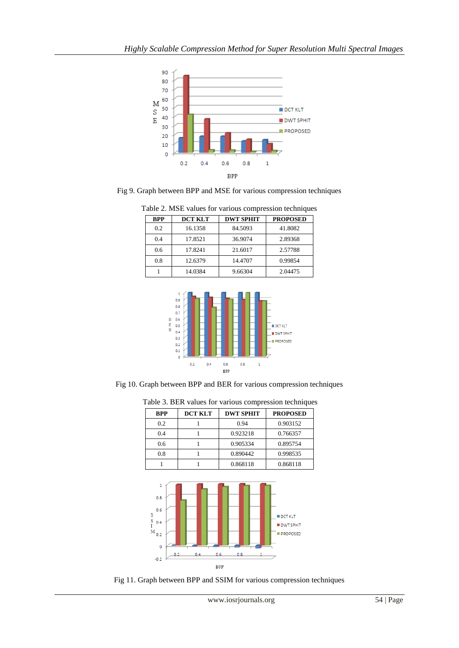

Fig 9. Graph between BPP and MSE for various compression techniques

| Table 2. MSE values for various compression techniques |                |                  |                            |  |  |  |  |
|--------------------------------------------------------|----------------|------------------|----------------------------|--|--|--|--|
| <b>BPP</b>                                             | <b>DCT KLT</b> | <b>DWT SPHIT</b> | <b>PROPOSED</b><br>41.8082 |  |  |  |  |
| 0.2                                                    | 16.1358        | 84.5093          |                            |  |  |  |  |
| 0.4                                                    | 17.8521        | 36.9074          | 2.89368                    |  |  |  |  |
| 0.6                                                    | 17.8241        | 21.6017          | 2.57788                    |  |  |  |  |
| 0.8                                                    | 12.6379        | 14.4707          | 0.99854                    |  |  |  |  |
|                                                        | 14.0384        | 9.66304          | 2.04475                    |  |  |  |  |



Fig 10. Graph between BPP and BER for various compression techniques

| <b>BPP</b> | <b>DCT KLT</b> | <b>DWT SPHIT</b><br><b>PROPOSED</b> |          |
|------------|----------------|-------------------------------------|----------|
| 0.2        |                | 0.94                                | 0.903152 |
| 0.4        |                | 0.923218                            | 0.766357 |
| 0.6        |                | 0.905334                            | 0.895754 |
| 0.8        |                | 0.890442                            | 0.998535 |
|            |                | 0.868118                            | 0.868118 |

Table 3. BER values for various compression techniques



Fig 11. Graph between BPP and SSIM for various compression techniques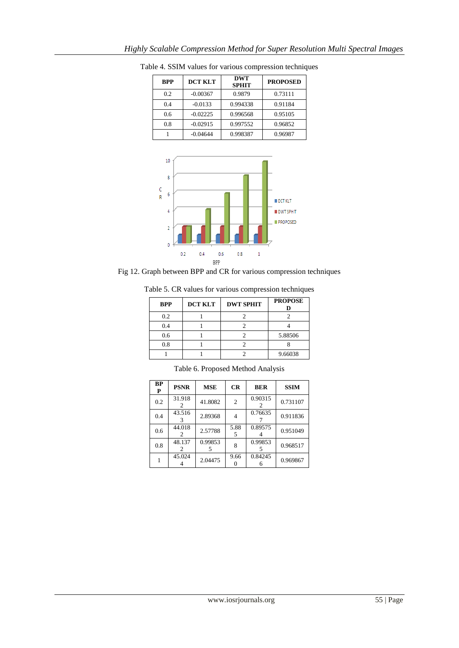| <b>BPP</b> | <b>DCT KLT</b> | <b>DWT</b><br><b>SPHIT</b> | <b>PROPOSED</b> |  |
|------------|----------------|----------------------------|-----------------|--|
| 0.2        | $-0.00367$     | 0.9879                     | 0.73111         |  |
| 0.4        | $-0.0133$      | 0.994338                   | 0.91184         |  |
| 0.6        | $-0.02225$     | 0.996568                   | 0.95105         |  |
| 0.8        | $-0.02915$     | 0.997552                   | 0.96852         |  |
|            | -0.04644       | 0.998387                   | 0.96987         |  |

Table 4. SSIM values for various compression techniques



Fig 12. Graph between BPP and CR for various compression techniques

| <b>BPP</b> | <b>DCT KLT</b> | <b>DWT SPHIT</b> | <b>PROPOSE</b> |
|------------|----------------|------------------|----------------|
| 0.2        |                |                  |                |
| 0.4        |                |                  |                |
|            |                |                  | 5.88506        |

Table 5. CR values for various compression techniques

| <b>BP</b><br>P | <b>PSNR</b> | <b>MSE</b> | CR             | <b>BER</b> | <b>SSIM</b> |
|----------------|-------------|------------|----------------|------------|-------------|
| 0.2            | 31.918      | 41.8082    | $\overline{c}$ | 0.90315    | 0.731107    |
| 0.4            | 43.516      | 2.89368    | 4              | 0.76635    | 0.911836    |
| 0.6            | 44.018      | 2.57788    | 5.88<br>5      | 0.89575    | 0.951049    |
| 0.8            | 48.137      | 0.99853    | 8              | 0.99853    | 0.968517    |
|                | 45.024      | 2.04475    | 9.66           | 0.84245    | 0.969867    |

Table 6. Proposed Method Analysis

0.8 | 1 | 2 | 8 1 1 2 9.66038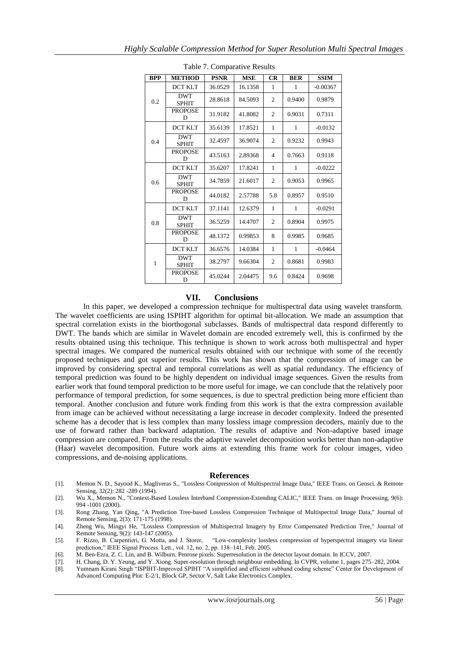| $14010$ $\ldots$ comparant $\ell$ research |                            |             |            |                |            |             |
|--------------------------------------------|----------------------------|-------------|------------|----------------|------------|-------------|
| <b>BPP</b>                                 | <b>METHOD</b>              | <b>PSNR</b> | <b>MSE</b> | CR             | <b>BER</b> | <b>SSIM</b> |
|                                            | <b>DCT KLT</b>             | 36.0529     | 16.1358    | 1              | 1          | $-0.00367$  |
| 0.2                                        | <b>DWT</b><br><b>SPHIT</b> | 28.8618     | 84.5093    | $\overline{c}$ | 0.9400     | 0.9879      |
|                                            | <b>PROPOSE</b><br>D        | 31.9182     | 41.8082    | $\mathfrak{2}$ | 0.9031     | 0.7311      |
|                                            | <b>DCT KLT</b>             | 35.6139     | 17.8521    | 1              | 1          | $-0.0132$   |
| 0.4                                        | <b>DWT</b><br><b>SPHIT</b> | 32.4597     | 36.9074    | $\overline{2}$ | 0.9232     | 0.9943      |
|                                            | <b>PROPOSE</b><br>D        | 43.5163     | 2.89368    | $\overline{4}$ | 0.7663     | 0.9118      |
|                                            | <b>DCT KLT</b>             | 35.6207     | 17.8241    | 1              | 1          | $-0.0222$   |
| 0.6                                        | <b>DWT</b><br><b>SPHIT</b> | 34.7859     | 21.6017    | $\mathfrak{2}$ | 0.9053     | 0.9965      |
|                                            | <b>PROPOSE</b><br>D        | 44.0182     | 2.57788    | 5.8            | 0.8957     | 0.9510      |
|                                            | <b>DCT KLT</b>             | 37.1141     | 12.6379    | 1              | 1          | $-0.0291$   |
| 0.8                                        | <b>DWT</b><br><b>SPHIT</b> | 36.5259     | 14.4707    | $\overline{2}$ | 0.8904     | 0.9975      |
|                                            | <b>PROPOSE</b><br>D        | 48.1372     | 0.99853    | 8              | 0.9985     | 0.9685      |
|                                            | <b>DCT KLT</b>             | 36.6576     | 14.0384    | $\mathbf{1}$   | 1          | $-0.0464$   |
| 1                                          | <b>DWT</b><br><b>SPHIT</b> | 38.2797     | 9.66304    | $\overline{c}$ | 0.8681     | 0.9983      |
|                                            | <b>PROPOSE</b><br>D        | 45.0244     | 2.04475    | 9.6            | 0.8424     | 0.9698      |

Table 7. Comparative Results

#### **VII. Conclusions**

In this paper, we developed a compression technique for multispectral data using wavelet transform. The wavelet coefficients are using ISPIHT algorithm for optimal bit-allocation. We made an assumption that spectral correlation exists in the biorthogonal subclasses. Bands of multispectral data respond differently to DWT. The bands which are similar in Wavelet domain are encoded extremely well, this is confirmed by the results obtained using this technique. This technique is shown to work across both multispectral and hyper spectral images. We compared the numerical results obtained with our technique with some of the recently proposed techniques and got superior results. This work has shown that the compression of image can be improved by considering spectral and temporal correlations as well as spatial redundancy. The efficiency of temporal prediction was found to be highly dependent on individual image sequences. Given the results from earlier work that found temporal prediction to be more useful for image, we can conclude that the relatively poor performance of temporal prediction, for some sequences, is due to spectral prediction being more efficient than temporal. Another conclusion and future work finding from this work is that the extra compression available from image can be achieved without necessitating a large increase in decoder complexity. Indeed the presented scheme has a decoder that is less complex than many lossless image compression decoders, mainly due to the use of forward rather than backward adaptation. The results of adaptive and Non-adaptive based image compression are compared. From the results the adaptive wavelet decomposition works better than non-adaptive (Haar) wavelet decomposition. Future work aims at extending this frame work for colour images, video compressions, and de-noising applications.

#### **References**

- [1]. Memon N. D., Sayood K., Magliveras S., "Lossless Compression of Multispectral Image Data," IEEE Trans. on Geosci. & Remote Sensing, 32(2): 282 -289 (1994).
- [2]. Wu X., Memon N., "Context-Based Lossless Interband Compression-Extending CALIC," IEEE Trans. on Image Processing, 9(6): 994 -1001 (2000).

[3]. Rong Zhang, Yan Qing, "A Prediction Tree-based Lossless Compression Technique of Multispectral Image Data," Journal of Remote Sensing, 2(3): 171-175 (1998).

[4]. Zheng Wu, Mingyi He, "Lossless Compression of Multispectral Imagery by Error Compensated Prediction Tree," Journal of Remote Sensing, 9(2): 143-147 (2005).<br>F. Rizzo, B. Carpentieri, G. Motta, and J. Storer,

[5]. F. Rizzo, B. Carpentieri, G. Motta, and J. Storer, "Low-complexity lossless compression of hyperspectral imagery via linear prediction," IEEE Signal Process. Lett., vol. 12, no. 2, pp. 138–141, Feb. 2005.

- [6]. M. Ben-Ezra, Z. C. Lin, and B. Wilburn. Penrose pixels: Superresolution in the detector layout domain. In ICCV, 2007.
- [7]. H. Chang, D. Y. Yeung, and Y. Xiong. Super-resolution through neighbour embedding. In CVPR, volume 1, pages 275–282, 2004.
- [8]. Yumnam Kirani Singh "ISPIHT-Improved SPIHT "A simplified and efficient subband coding scheme" Center for Development of Advanced Computing Plot: E-2/1, Block GP, Sector V, Salt Lake Electronics Complex.